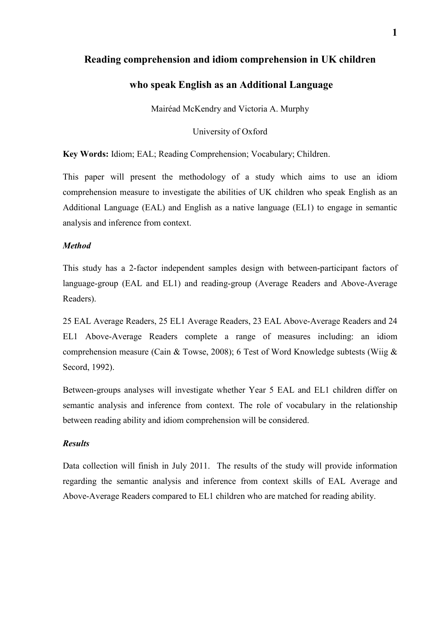## **Reading comprehension and idiom comprehension in UK children**

## **who speak English as an Additional Language**

Mairéad McKendry and Victoria A. Murphy

University of Oxford

**Key Words:** Idiom; EAL; Reading Comprehension; Vocabulary; Children.

This paper will present the methodology of a study which aims to use an idiom comprehension measure to investigate the abilities of UK children who speak English as an Additional Language (EAL) and English as a native language (EL1) to engage in semantic analysis and inference from context.

### *Method*

This study has a 2-factor independent samples design with between-participant factors of language-group (EAL and EL1) and reading-group (Average Readers and Above-Average Readers).

25 EAL Average Readers, 25 EL1 Average Readers, 23 EAL Above-Average Readers and 24 EL1 Above-Average Readers complete a range of measures including: an idiom comprehension measure (Cain & Towse, 2008); 6 Test of Word Knowledge subtests (Wiig & Secord, 1992).

Between-groups analyses will investigate whether Year 5 EAL and EL1 children differ on semantic analysis and inference from context. The role of vocabulary in the relationship between reading ability and idiom comprehension will be considered.

### *Results*

Data collection will finish in July 2011. The results of the study will provide information regarding the semantic analysis and inference from context skills of EAL Average and Above-Average Readers compared to EL1 children who are matched for reading ability.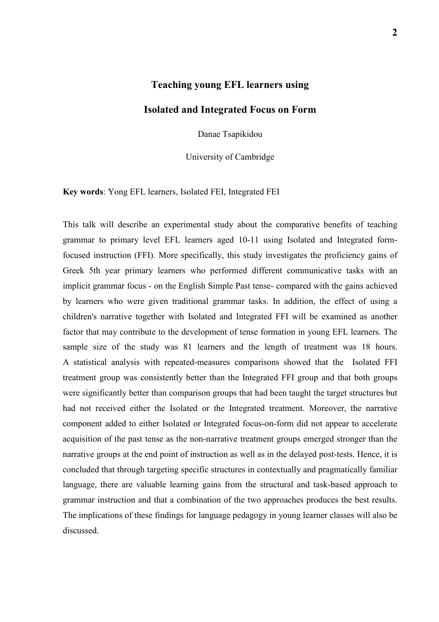## **Teaching young EFL learners using**

## **Isolated and Integrated Focus on Form**

Danae Tsapikidou

University of Cambridge

**Key words**: Yong EFL learners, Isolated FEI, Integrated FEI

This talk will describe an experimental study about the comparative benefits of teaching grammar to primary level EFL learners aged 10-11 using Isolated and Integrated formfocused instruction (FFI). More specifically, this study investigates the proficiency gains of Greek 5th year primary learners who performed different communicative tasks with an implicit grammar focus - on the English Simple Past tense- compared with the gains achieved by learners who were given traditional grammar tasks. In addition, the effect of using a children's narrative together with Isolated and Integrated FFI will be examined as another factor that may contribute to the development of tense formation in young EFL learners. The sample size of the study was 81 learners and the length of treatment was 18 hours. A statistical analysis with repeated-measures comparisons showed that the Isolated FFI treatment group was consistently better than the Integrated FFI group and that both groups were significantly better than comparison groups that had been taught the target structures but had not received either the Isolated or the Integrated treatment. Moreover, the narrative component added to either Isolated or Integrated focus-on-form did not appear to accelerate acquisition of the past tense as the non-narrative treatment groups emerged stronger than the narrative groups at the end point of instruction as well as in the delayed post-tests. Hence, it is concluded that through targeting specific structures in contextually and pragmatically familiar language, there are valuable learning gains from the structural and task-based approach to grammar instruction and that a combination of the two approaches produces the best results. The implications of these findings for language pedagogy in young learner classes will also be discussed.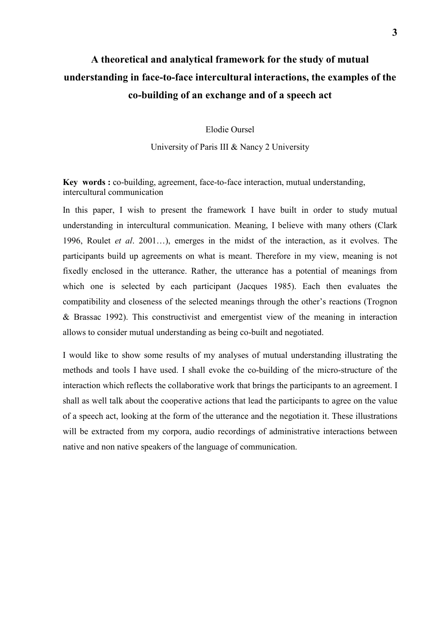# **A theoretical and analytical framework for the study of mutual understanding in face-to-face intercultural interactions, the examples of the co-building of an exchange and of a speech act**

Elodie Oursel

University of Paris III & Nancy 2 University

**Key words :** co-building, agreement, face-to-face interaction, mutual understanding, intercultural communication

In this paper, I wish to present the framework I have built in order to study mutual understanding in intercultural communication. Meaning, I believe with many others (Clark 1996, Roulet *et al*. 2001…), emerges in the midst of the interaction, as it evolves. The participants build up agreements on what is meant. Therefore in my view, meaning is not fixedly enclosed in the utterance. Rather, the utterance has a potential of meanings from which one is selected by each participant (Jacques 1985). Each then evaluates the compatibility and closeness of the selected meanings through the other's reactions (Trognon & Brassac 1992). This constructivist and emergentist view of the meaning in interaction allows to consider mutual understanding as being co-built and negotiated.

I would like to show some results of my analyses of mutual understanding illustrating the methods and tools I have used. I shall evoke the co-building of the micro-structure of the interaction which reflects the collaborative work that brings the participants to an agreement. I shall as well talk about the cooperative actions that lead the participants to agree on the value of a speech act, looking at the form of the utterance and the negotiation it. These illustrations will be extracted from my corpora, audio recordings of administrative interactions between native and non native speakers of the language of communication.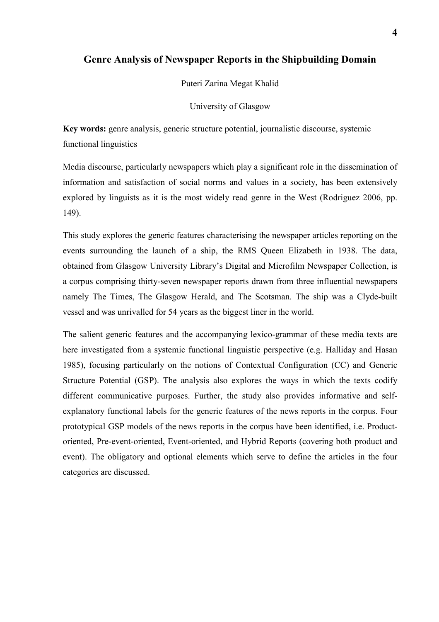## **Genre Analysis of Newspaper Reports in the Shipbuilding Domain**

Puteri Zarina Megat Khalid

University of Glasgow

**Key words:** genre analysis, generic structure potential, journalistic discourse, systemic functional linguistics

Media discourse, particularly newspapers which play a significant role in the dissemination of information and satisfaction of social norms and values in a society, has been extensively explored by linguists as it is the most widely read genre in the West (Rodriguez 2006, pp. 149).

This study explores the generic features characterising the newspaper articles reporting on the events surrounding the launch of a ship, the RMS Queen Elizabeth in 1938. The data, obtained from Glasgow University Library's Digital and Microfilm Newspaper Collection, is a corpus comprising thirty-seven newspaper reports drawn from three influential newspapers namely The Times, The Glasgow Herald, and The Scotsman. The ship was a Clyde-built vessel and was unrivalled for 54 years as the biggest liner in the world.

The salient generic features and the accompanying lexico-grammar of these media texts are here investigated from a systemic functional linguistic perspective (e.g. Halliday and Hasan 1985), focusing particularly on the notions of Contextual Configuration (CC) and Generic Structure Potential (GSP). The analysis also explores the ways in which the texts codify different communicative purposes. Further, the study also provides informative and selfexplanatory functional labels for the generic features of the news reports in the corpus. Four prototypical GSP models of the news reports in the corpus have been identified, i.e. Productoriented, Pre-event-oriented, Event-oriented, and Hybrid Reports (covering both product and event). The obligatory and optional elements which serve to define the articles in the four categories are discussed.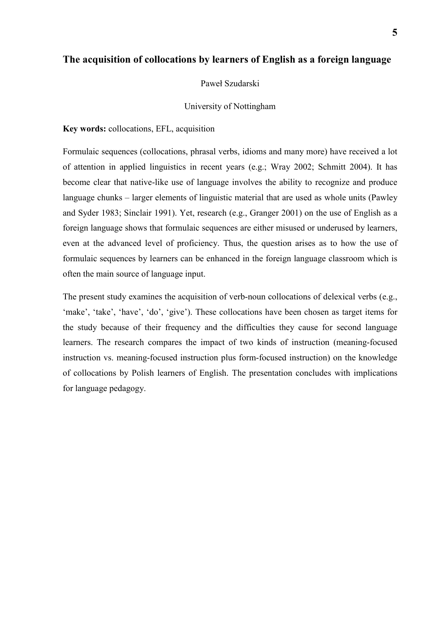## **The acquisition of collocations by learners of English as a foreign language**

#### Paweł Szudarski

#### University of Nottingham

#### **Key words:** collocations, EFL, acquisition

Formulaic sequences (collocations, phrasal verbs, idioms and many more) have received a lot of attention in applied linguistics in recent years (e.g.; Wray 2002; Schmitt 2004). It has become clear that native-like use of language involves the ability to recognize and produce language chunks – larger elements of linguistic material that are used as whole units (Pawley and Syder 1983; Sinclair 1991). Yet, research (e.g., Granger 2001) on the use of English as a foreign language shows that formulaic sequences are either misused or underused by learners, even at the advanced level of proficiency. Thus, the question arises as to how the use of formulaic sequences by learners can be enhanced in the foreign language classroom which is often the main source of language input.

The present study examines the acquisition of verb-noun collocations of delexical verbs (e.g., 'make', 'take', 'have', 'do', 'give'). These collocations have been chosen as target items for the study because of their frequency and the difficulties they cause for second language learners. The research compares the impact of two kinds of instruction (meaning-focused instruction vs. meaning-focused instruction plus form-focused instruction) on the knowledge of collocations by Polish learners of English. The presentation concludes with implications for language pedagogy.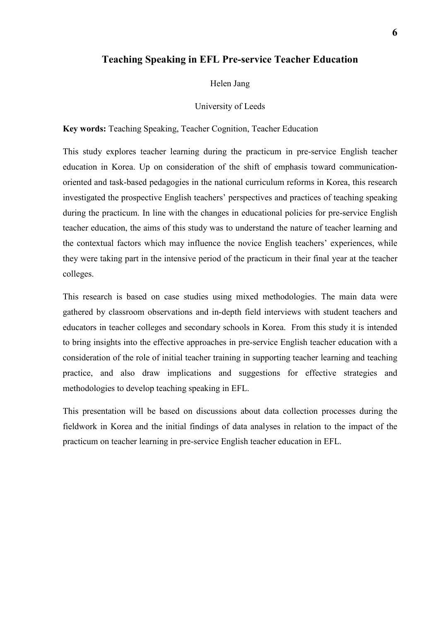### **Teaching Speaking in EFL Pre-service Teacher Education**

#### Helen Jang

#### University of Leeds

**Key words:** Teaching Speaking, Teacher Cognition, Teacher Education

This study explores teacher learning during the practicum in pre-service English teacher education in Korea. Up on consideration of the shift of emphasis toward communicationoriented and task-based pedagogies in the national curriculum reforms in Korea, this research investigated the prospective English teachers' perspectives and practices of teaching speaking during the practicum. In line with the changes in educational policies for pre-service English teacher education, the aims of this study was to understand the nature of teacher learning and the contextual factors which may influence the novice English teachers' experiences, while they were taking part in the intensive period of the practicum in their final year at the teacher colleges.

This research is based on case studies using mixed methodologies. The main data were gathered by classroom observations and in-depth field interviews with student teachers and educators in teacher colleges and secondary schools in Korea. From this study it is intended to bring insights into the effective approaches in pre-service English teacher education with a consideration of the role of initial teacher training in supporting teacher learning and teaching practice, and also draw implications and suggestions for effective strategies and methodologies to develop teaching speaking in EFL.

This presentation will be based on discussions about data collection processes during the fieldwork in Korea and the initial findings of data analyses in relation to the impact of the practicum on teacher learning in pre-service English teacher education in EFL.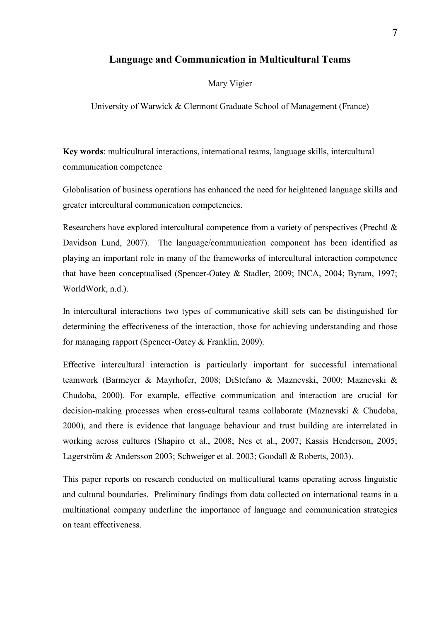### **Language and Communication in Multicultural Teams**

#### Mary Vigier

University of Warwick & Clermont Graduate School of Management (France)

**Key words**: multicultural interactions, international teams, language skills, intercultural communication competence

Globalisation of business operations has enhanced the need for heightened language skills and greater intercultural communication competencies.

Researchers have explored intercultural competence from a variety of perspectives (Prechtl & Davidson Lund, 2007). The language/communication component has been identified as playing an important role in many of the frameworks of intercultural interaction competence that have been conceptualised (Spencer-Oatey & Stadler, 2009; INCA, 2004; Byram, 1997; WorldWork, n.d.).

In intercultural interactions two types of communicative skill sets can be distinguished for determining the effectiveness of the interaction, those for achieving understanding and those for managing rapport (Spencer-Oatey & Franklin, 2009).

Effective intercultural interaction is particularly important for successful international teamwork (Barmeyer & Mayrhofer, 2008; DiStefano & Maznevski, 2000; Maznevski & Chudoba, 2000). For example, effective communication and interaction are crucial for decision-making processes when cross-cultural teams collaborate (Maznevski & Chudoba, 2000), and there is evidence that language behaviour and trust building are interrelated in working across cultures (Shapiro et al., 2008; Nes et al., 2007; Kassis Henderson, 2005; Lagerström & Andersson 2003; Schweiger et al. 2003; Goodall & Roberts, 2003).

This paper reports on research conducted on multicultural teams operating across linguistic and cultural boundaries. Preliminary findings from data collected on international teams in a multinational company underline the importance of language and communication strategies on team effectiveness.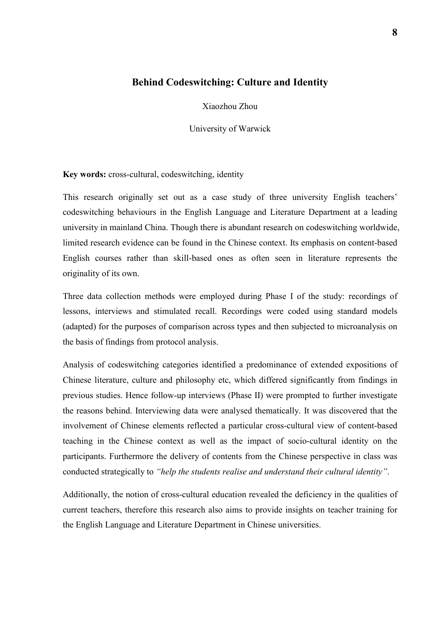# **Behind Codeswitching: Culture and Identity**

Xiaozhou Zhou

University of Warwick

**Key words:** cross-cultural, codeswitching, identity

This research originally set out as a case study of three university English teachers' codeswitching behaviours in the English Language and Literature Department at a leading university in mainland China. Though there is abundant research on codeswitching worldwide, limited research evidence can be found in the Chinese context. Its emphasis on content-based English courses rather than skill-based ones as often seen in literature represents the originality of its own.

Three data collection methods were employed during Phase I of the study: recordings of lessons, interviews and stimulated recall. Recordings were coded using standard models (adapted) for the purposes of comparison across types and then subjected to microanalysis on the basis of findings from protocol analysis.

Analysis of codeswitching categories identified a predominance of extended expositions of Chinese literature, culture and philosophy etc, which differed significantly from findings in previous studies. Hence follow-up interviews (Phase II) were prompted to further investigate the reasons behind. Interviewing data were analysed thematically. It was discovered that the involvement of Chinese elements reflected a particular cross-cultural view of content-based teaching in the Chinese context as well as the impact of socio-cultural identity on the participants. Furthermore the delivery of contents from the Chinese perspective in class was conducted strategically to *"help the students realise and understand their cultural identity"*.

Additionally, the notion of cross-cultural education revealed the deficiency in the qualities of current teachers, therefore this research also aims to provide insights on teacher training for the English Language and Literature Department in Chinese universities.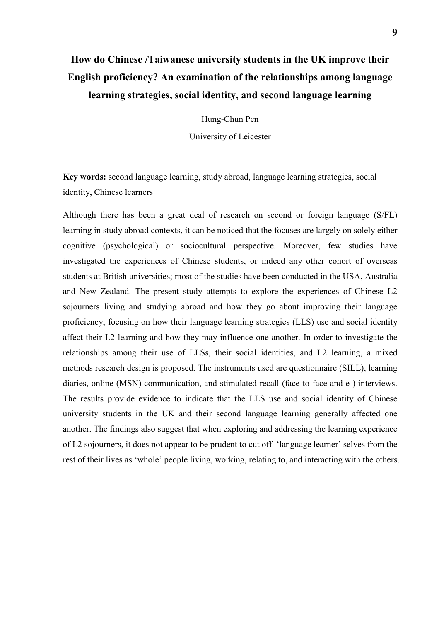# **How do Chinese /Taiwanese university students in the UK improve their English proficiency? An examination of the relationships among language learning strategies, social identity, and second language learning**

Hung-Chun Pen

University of Leicester

**Key words:** second language learning, study abroad, language learning strategies, social identity, Chinese learners

Although there has been a great deal of research on second or foreign language (S/FL) learning in study abroad contexts, it can be noticed that the focuses are largely on solely either cognitive (psychological) or sociocultural perspective. Moreover, few studies have investigated the experiences of Chinese students, or indeed any other cohort of overseas students at British universities; most of the studies have been conducted in the USA, Australia and New Zealand. The present study attempts to explore the experiences of Chinese L2 sojourners living and studying abroad and how they go about improving their language proficiency, focusing on how their language learning strategies (LLS) use and social identity affect their L2 learning and how they may influence one another. In order to investigate the relationships among their use of LLSs, their social identities, and L2 learning, a mixed methods research design is proposed. The instruments used are questionnaire (SILL), learning diaries, online (MSN) communication, and stimulated recall (face-to-face and e-) interviews. The results provide evidence to indicate that the LLS use and social identity of Chinese university students in the UK and their second language learning generally affected one another. The findings also suggest that when exploring and addressing the learning experience of L2 sojourners, it does not appear to be prudent to cut off 'language learner' selves from the rest of their lives as 'whole' people living, working, relating to, and interacting with the others.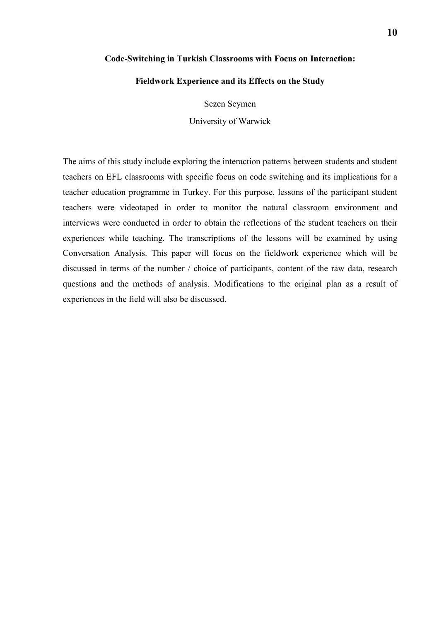#### **Code-Switching in Turkish Classrooms with Focus on Interaction:**

#### **Fieldwork Experience and its Effects on the Study**

Sezen Seymen

University of Warwick

The aims of this study include exploring the interaction patterns between students and student teachers on EFL classrooms with specific focus on code switching and its implications for a teacher education programme in Turkey. For this purpose, lessons of the participant student teachers were videotaped in order to monitor the natural classroom environment and interviews were conducted in order to obtain the reflections of the student teachers on their experiences while teaching. The transcriptions of the lessons will be examined by using Conversation Analysis. This paper will focus on the fieldwork experience which will be discussed in terms of the number / choice of participants, content of the raw data, research questions and the methods of analysis. Modifications to the original plan as a result of experiences in the field will also be discussed.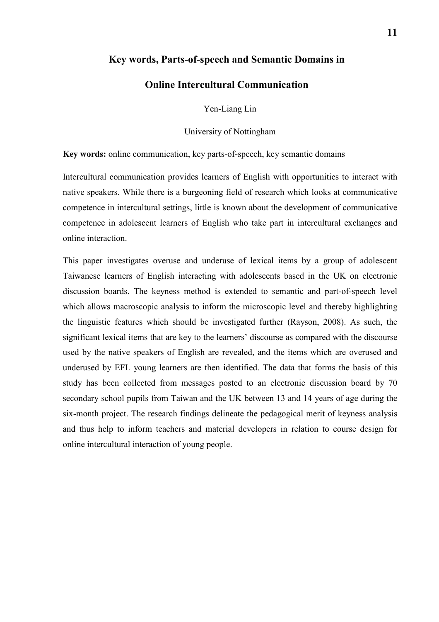### **Key words, Parts-of-speech and Semantic Domains in**

### **Online Intercultural Communication**

Yen-Liang Lin

University of Nottingham

**Key words:** online communication, key parts-of-speech, key semantic domains

Intercultural communication provides learners of English with opportunities to interact with native speakers. While there is a burgeoning field of research which looks at communicative competence in intercultural settings, little is known about the development of communicative competence in adolescent learners of English who take part in intercultural exchanges and online interaction.

This paper investigates overuse and underuse of lexical items by a group of adolescent Taiwanese learners of English interacting with adolescents based in the UK on electronic discussion boards. The keyness method is extended to semantic and part-of-speech level which allows macroscopic analysis to inform the microscopic level and thereby highlighting the linguistic features which should be investigated further (Rayson, 2008). As such, the significant lexical items that are key to the learners' discourse as compared with the discourse used by the native speakers of English are revealed, and the items which are overused and underused by EFL young learners are then identified. The data that forms the basis of this study has been collected from messages posted to an electronic discussion board by 70 secondary school pupils from Taiwan and the UK between 13 and 14 years of age during the six-month project. The research findings delineate the pedagogical merit of keyness analysis and thus help to inform teachers and material developers in relation to course design for online intercultural interaction of young people.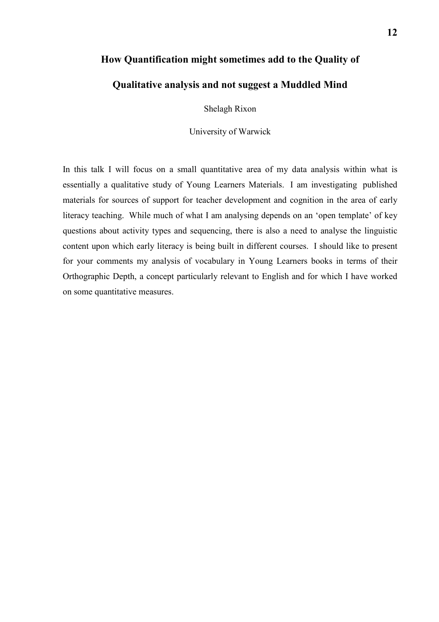# **How Quantification might sometimes add to the Quality of**

# **Qualitative analysis and not suggest a Muddled Mind**

Shelagh Rixon

University of Warwick

In this talk I will focus on a small quantitative area of my data analysis within what is essentially a qualitative study of Young Learners Materials. I am investigating published materials for sources of support for teacher development and cognition in the area of early literacy teaching. While much of what I am analysing depends on an 'open template' of key questions about activity types and sequencing, there is also a need to analyse the linguistic content upon which early literacy is being built in different courses. I should like to present for your comments my analysis of vocabulary in Young Learners books in terms of their Orthographic Depth, a concept particularly relevant to English and for which I have worked on some quantitative measures.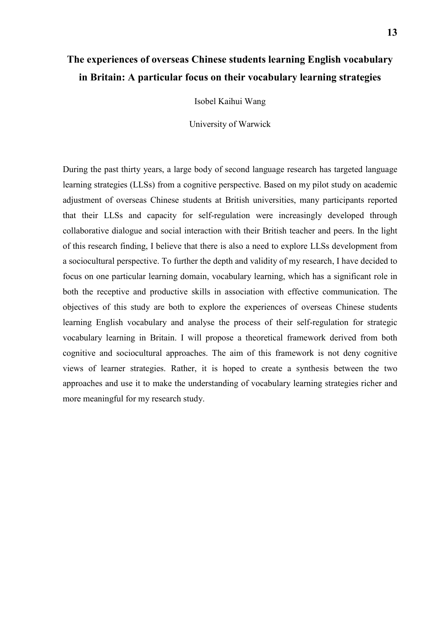# **The experiences of overseas Chinese students learning English vocabulary in Britain: A particular focus on their vocabulary learning strategies**

Isobel Kaihui Wang

University of Warwick

During the past thirty years, a large body of second language research has targeted language learning strategies (LLSs) from a cognitive perspective. Based on my pilot study on academic adjustment of overseas Chinese students at British universities, many participants reported that their LLSs and capacity for self-regulation were increasingly developed through collaborative dialogue and social interaction with their British teacher and peers. In the light of this research finding, I believe that there is also a need to explore LLSs development from a sociocultural perspective. To further the depth and validity of my research, I have decided to focus on one particular learning domain, vocabulary learning, which has a significant role in both the receptive and productive skills in association with effective communication. The objectives of this study are both to explore the experiences of overseas Chinese students learning English vocabulary and analyse the process of their self-regulation for strategic vocabulary learning in Britain. I will propose a theoretical framework derived from both cognitive and sociocultural approaches. The aim of this framework is not deny cognitive views of learner strategies. Rather, it is hoped to create a synthesis between the two approaches and use it to make the understanding of vocabulary learning strategies richer and more meaningful for my research study.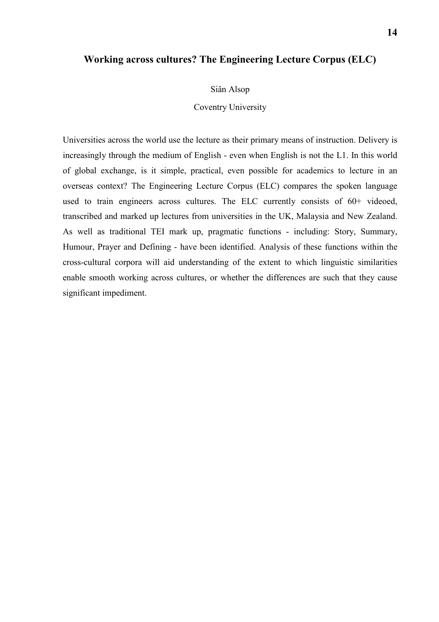# **Working across cultures? The Engineering Lecture Corpus (ELC)**

Siân Alsop

Coventry University

Universities across the world use the lecture as their primary means of instruction. Delivery is increasingly through the medium of English - even when English is not the L1. In this world of global exchange, is it simple, practical, even possible for academics to lecture in an overseas context? The Engineering Lecture Corpus (ELC) compares the spoken language used to train engineers across cultures. The ELC currently consists of 60+ videoed, transcribed and marked up lectures from universities in the UK, Malaysia and New Zealand. As well as traditional TEI mark up, pragmatic functions - including: Story, Summary, Humour, Prayer and Defining - have been identified. Analysis of these functions within the cross-cultural corpora will aid understanding of the extent to which linguistic similarities enable smooth working across cultures, or whether the differences are such that they cause significant impediment.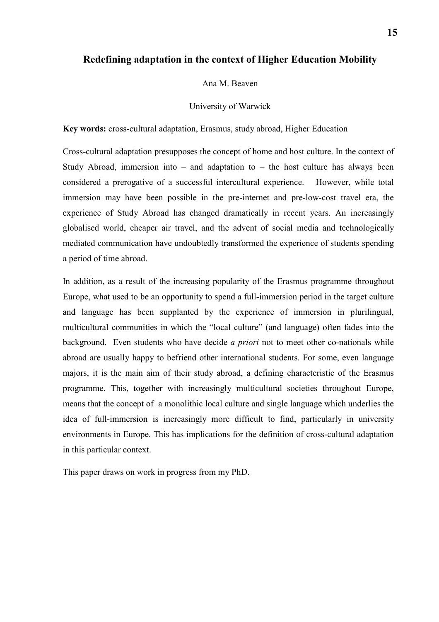## **Redefining adaptation in the context of Higher Education Mobility**

#### Ana M. Beaven

#### University of Warwick

**Key words:** cross-cultural adaptation, Erasmus, study abroad, Higher Education

Cross-cultural adaptation presupposes the concept of home and host culture. In the context of Study Abroad, immersion into  $-$  and adaptation to  $-$  the host culture has always been considered a prerogative of a successful intercultural experience. However, while total immersion may have been possible in the pre-internet and pre-low-cost travel era, the experience of Study Abroad has changed dramatically in recent years. An increasingly globalised world, cheaper air travel, and the advent of social media and technologically mediated communication have undoubtedly transformed the experience of students spending a period of time abroad.

In addition, as a result of the increasing popularity of the Erasmus programme throughout Europe, what used to be an opportunity to spend a full-immersion period in the target culture and language has been supplanted by the experience of immersion in plurilingual, multicultural communities in which the "local culture" (and language) often fades into the background. Even students who have decide *a priori* not to meet other co-nationals while abroad are usually happy to befriend other international students. For some, even language majors, it is the main aim of their study abroad, a defining characteristic of the Erasmus programme. This, together with increasingly multicultural societies throughout Europe, means that the concept of a monolithic local culture and single language which underlies the idea of full-immersion is increasingly more difficult to find, particularly in university environments in Europe. This has implications for the definition of cross-cultural adaptation in this particular context.

This paper draws on work in progress from my PhD.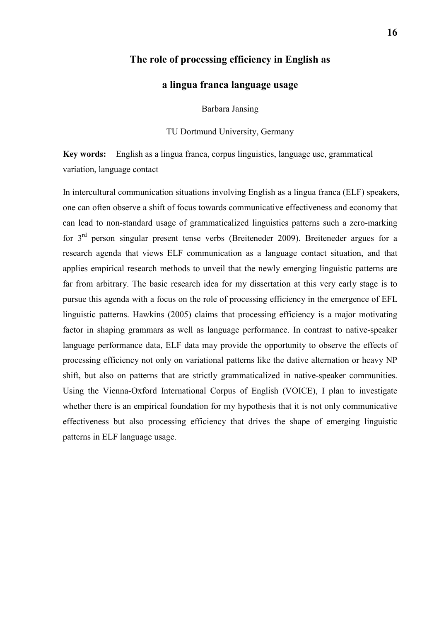## **The role of processing efficiency in English as**

## **a lingua franca language usage**

Barbara Jansing

TU Dortmund University, Germany

**Key words:** English as a lingua franca, corpus linguistics, language use, grammatical variation, language contact

In intercultural communication situations involving English as a lingua franca (ELF) speakers, one can often observe a shift of focus towards communicative effectiveness and economy that can lead to non-standard usage of grammaticalized linguistics patterns such a zero-marking for  $3<sup>rd</sup>$  person singular present tense verbs (Breiteneder 2009). Breiteneder argues for a research agenda that views ELF communication as a language contact situation, and that applies empirical research methods to unveil that the newly emerging linguistic patterns are far from arbitrary. The basic research idea for my dissertation at this very early stage is to pursue this agenda with a focus on the role of processing efficiency in the emergence of EFL linguistic patterns. Hawkins (2005) claims that processing efficiency is a major motivating factor in shaping grammars as well as language performance. In contrast to native-speaker language performance data, ELF data may provide the opportunity to observe the effects of processing efficiency not only on variational patterns like the dative alternation or heavy NP shift, but also on patterns that are strictly grammaticalized in native-speaker communities. Using the Vienna-Oxford International Corpus of English (VOICE), I plan to investigate whether there is an empirical foundation for my hypothesis that it is not only communicative effectiveness but also processing efficiency that drives the shape of emerging linguistic patterns in ELF language usage.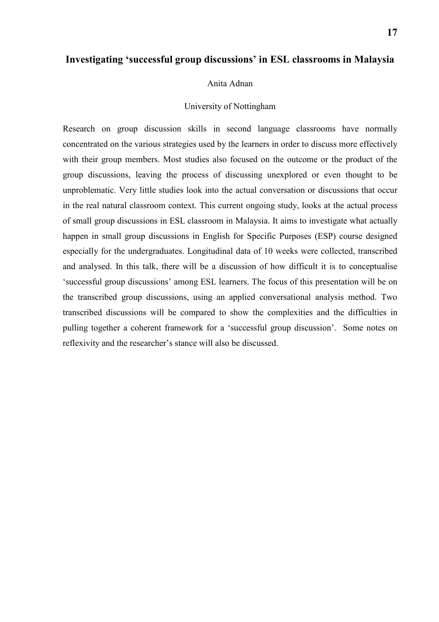## **Investigating 'successful group discussions' in ESL classrooms in Malaysia**

#### Anita Adnan

#### University of Nottingham

Research on group discussion skills in second language classrooms have normally concentrated on the various strategies used by the learners in order to discuss more effectively with their group members. Most studies also focused on the outcome or the product of the group discussions, leaving the process of discussing unexplored or even thought to be unproblematic. Very little studies look into the actual conversation or discussions that occur in the real natural classroom context. This current ongoing study, looks at the actual process of small group discussions in ESL classroom in Malaysia. It aims to investigate what actually happen in small group discussions in English for Specific Purposes (ESP) course designed especially for the undergraduates. Longitudinal data of 10 weeks were collected, transcribed and analysed. In this talk, there will be a discussion of how difficult it is to conceptualise 'successful group discussions' among ESL learners. The focus of this presentation will be on the transcribed group discussions, using an applied conversational analysis method. Two transcribed discussions will be compared to show the complexities and the difficulties in pulling together a coherent framework for a 'successful group discussion'. Some notes on reflexivity and the researcher's stance will also be discussed.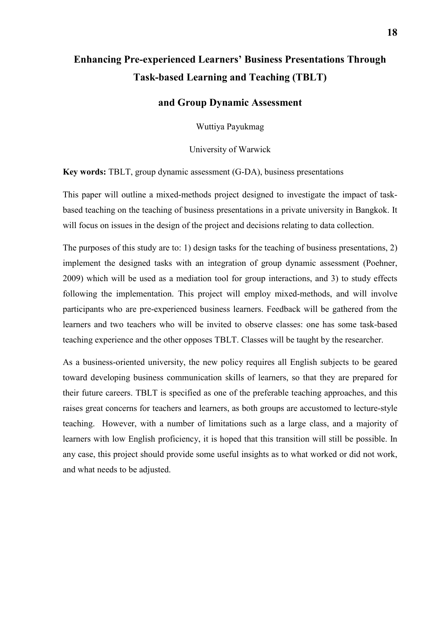# **Enhancing Pre-experienced Learners' Business Presentations Through Task-based Learning and Teaching (TBLT)**

## **and Group Dynamic Assessment**

Wuttiya Payukmag

University of Warwick

**Key words:** TBLT, group dynamic assessment (G-DA), business presentations

This paper will outline a mixed-methods project designed to investigate the impact of taskbased teaching on the teaching of business presentations in a private university in Bangkok. It will focus on issues in the design of the project and decisions relating to data collection.

The purposes of this study are to: 1) design tasks for the teaching of business presentations, 2) implement the designed tasks with an integration of group dynamic assessment (Poehner, 2009) which will be used as a mediation tool for group interactions, and 3) to study effects following the implementation. This project will employ mixed-methods, and will involve participants who are pre-experienced business learners. Feedback will be gathered from the learners and two teachers who will be invited to observe classes: one has some task-based teaching experience and the other opposes TBLT. Classes will be taught by the researcher.

As a business-oriented university, the new policy requires all English subjects to be geared toward developing business communication skills of learners, so that they are prepared for their future careers. TBLT is specified as one of the preferable teaching approaches, and this raises great concerns for teachers and learners, as both groups are accustomed to lecture-style teaching. However, with a number of limitations such as a large class, and a majority of learners with low English proficiency, it is hoped that this transition will still be possible. In any case, this project should provide some useful insights as to what worked or did not work, and what needs to be adjusted.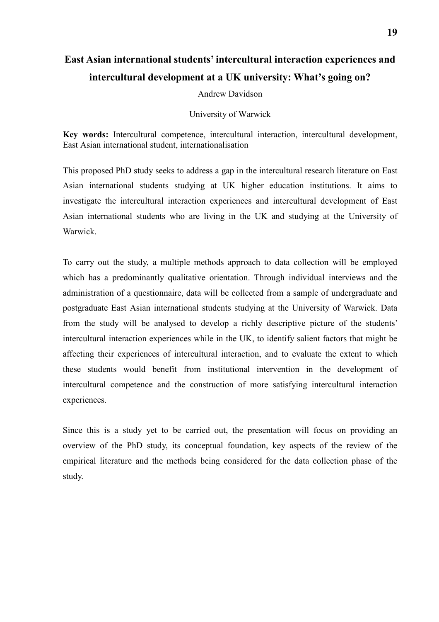# **East Asian international students' intercultural interaction experiences and intercultural development at a UK university: What's going on?**

Andrew Davidson

University of Warwick

**Key words:** Intercultural competence, intercultural interaction, intercultural development, East Asian international student, internationalisation

This proposed PhD study seeks to address a gap in the intercultural research literature on East Asian international students studying at UK higher education institutions. It aims to investigate the intercultural interaction experiences and intercultural development of East Asian international students who are living in the UK and studying at the University of Warwick.

To carry out the study, a multiple methods approach to data collection will be employed which has a predominantly qualitative orientation. Through individual interviews and the administration of a questionnaire, data will be collected from a sample of undergraduate and postgraduate East Asian international students studying at the University of Warwick. Data from the study will be analysed to develop a richly descriptive picture of the students' intercultural interaction experiences while in the UK, to identify salient factors that might be affecting their experiences of intercultural interaction, and to evaluate the extent to which these students would benefit from institutional intervention in the development of intercultural competence and the construction of more satisfying intercultural interaction experiences.

Since this is a study yet to be carried out, the presentation will focus on providing an overview of the PhD study, its conceptual foundation, key aspects of the review of the empirical literature and the methods being considered for the data collection phase of the study.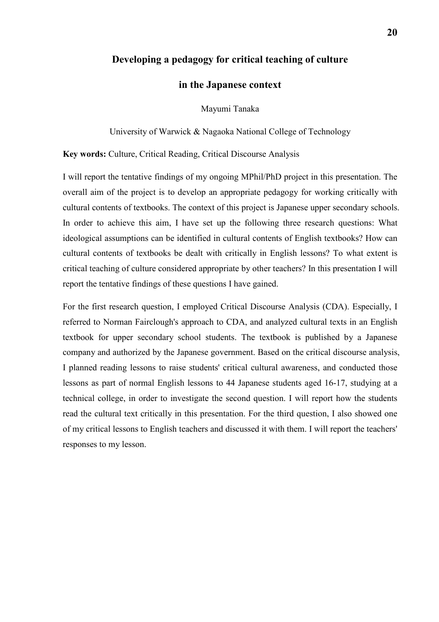## **Developing a pedagogy for critical teaching of culture**

# **in the Japanese context**

Mayumi Tanaka

University of Warwick & Nagaoka National College of Technology

**Key words:** Culture, Critical Reading, Critical Discourse Analysis

I will report the tentative findings of my ongoing MPhil/PhD project in this presentation. The overall aim of the project is to develop an appropriate pedagogy for working critically with cultural contents of textbooks. The context of this project is Japanese upper secondary schools. In order to achieve this aim, I have set up the following three research questions: What ideological assumptions can be identified in cultural contents of English textbooks? How can cultural contents of textbooks be dealt with critically in English lessons? To what extent is critical teaching of culture considered appropriate by other teachers? In this presentation I will report the tentative findings of these questions I have gained.

For the first research question, I employed Critical Discourse Analysis (CDA). Especially, I referred to Norman Fairclough's approach to CDA, and analyzed cultural texts in an English textbook for upper secondary school students. The textbook is published by a Japanese company and authorized by the Japanese government. Based on the critical discourse analysis, I planned reading lessons to raise students' critical cultural awareness, and conducted those lessons as part of normal English lessons to 44 Japanese students aged 16-17, studying at a technical college, in order to investigate the second question. I will report how the students read the cultural text critically in this presentation. For the third question, I also showed one of my critical lessons to English teachers and discussed it with them. I will report the teachers' responses to my lesson.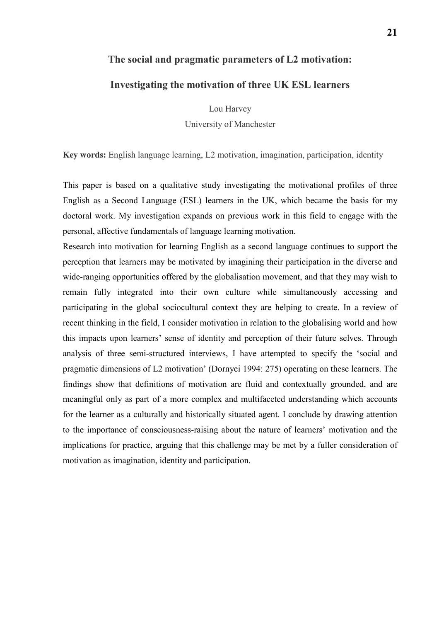# **The social and pragmatic parameters of L2 motivation:**

## **Investigating the motivation of three UK ESL learners**

Lou Harvey University of Manchester

**Key words:** English language learning, L2 motivation, imagination, participation, identity

This paper is based on a qualitative study investigating the motivational profiles of three English as a Second Language (ESL) learners in the UK, which became the basis for my doctoral work. My investigation expands on previous work in this field to engage with the personal, affective fundamentals of language learning motivation.

Research into motivation for learning English as a second language continues to support the perception that learners may be motivated by imagining their participation in the diverse and wide-ranging opportunities offered by the globalisation movement, and that they may wish to remain fully integrated into their own culture while simultaneously accessing and participating in the global sociocultural context they are helping to create. In a review of recent thinking in the field, I consider motivation in relation to the globalising world and how this impacts upon learners' sense of identity and perception of their future selves. Through analysis of three semi-structured interviews, I have attempted to specify the 'social and pragmatic dimensions of L2 motivation' (Dornyei 1994: 275) operating on these learners. The findings show that definitions of motivation are fluid and contextually grounded, and are meaningful only as part of a more complex and multifaceted understanding which accounts for the learner as a culturally and historically situated agent. I conclude by drawing attention to the importance of consciousness-raising about the nature of learners' motivation and the implications for practice, arguing that this challenge may be met by a fuller consideration of motivation as imagination, identity and participation.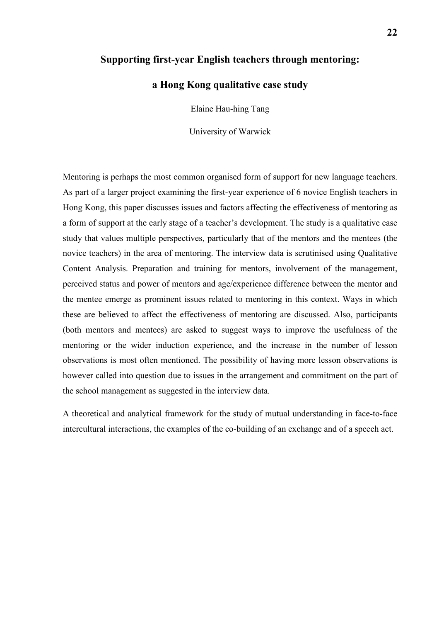### **Supporting first-year English teachers through mentoring:**

## **a Hong Kong qualitative case study**

Elaine Hau-hing Tang

University of Warwick

Mentoring is perhaps the most common organised form of support for new language teachers. As part of a larger project examining the first-year experience of 6 novice English teachers in Hong Kong, this paper discusses issues and factors affecting the effectiveness of mentoring as a form of support at the early stage of a teacher's development. The study is a qualitative case study that values multiple perspectives, particularly that of the mentors and the mentees (the novice teachers) in the area of mentoring. The interview data is scrutinised using Qualitative Content Analysis. Preparation and training for mentors, involvement of the management, perceived status and power of mentors and age/experience difference between the mentor and the mentee emerge as prominent issues related to mentoring in this context. Ways in which these are believed to affect the effectiveness of mentoring are discussed. Also, participants (both mentors and mentees) are asked to suggest ways to improve the usefulness of the mentoring or the wider induction experience, and the increase in the number of lesson observations is most often mentioned. The possibility of having more lesson observations is however called into question due to issues in the arrangement and commitment on the part of the school management as suggested in the interview data.

A theoretical and analytical framework for the study of mutual understanding in face-to-face intercultural interactions, the examples of the co-building of an exchange and of a speech act.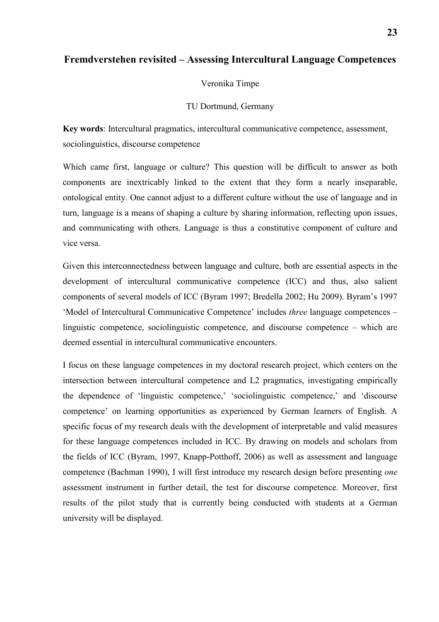## **Fremdverstehen revisited – Assessing Intercultural Language Competences**

#### Veronika Timpe

#### TU Dortmund, Germany

**Key words**: Intercultural pragmatics, intercultural communicative competence, assessment, sociolinguistics, discourse competence

Which came first, language or culture? This question will be difficult to answer as both components are inextricably linked to the extent that they form a nearly inseparable, ontological entity. One cannot adjust to a different culture without the use of language and in turn, language is a means of shaping a culture by sharing information, reflecting upon issues, and communicating with others. Language is thus a constitutive component of culture and vice versa.

Given this interconnectedness between language and culture, both are essential aspects in the development of intercultural communicative competence (ICC) and thus, also salient components of several models of ICC (Byram 1997; Bredella 2002; Hu 2009). Byram's 1997 'Model of Intercultural Communicative Competence' includes *three* language competences – linguistic competence, sociolinguistic competence, and discourse competence – which are deemed essential in intercultural communicative encounters.

I focus on these language competences in my doctoral research project, which centers on the intersection between intercultural competence and L2 pragmatics, investigating empirically the dependence of 'linguistic competence,' 'sociolinguistic competence,' and 'discourse competence' on learning opportunities as experienced by German learners of English. A specific focus of my research deals with the development of interpretable and valid measures for these language competences included in ICC. By drawing on models and scholars from the fields of ICC (Byram, 1997, Knapp-Potthoff, 2006) as well as assessment and language competence (Bachman 1990), I will first introduce my research design before presenting *one* assessment instrument in further detail, the test for discourse competence. Moreover, first results of the pilot study that is currently being conducted with students at a German university will be displayed.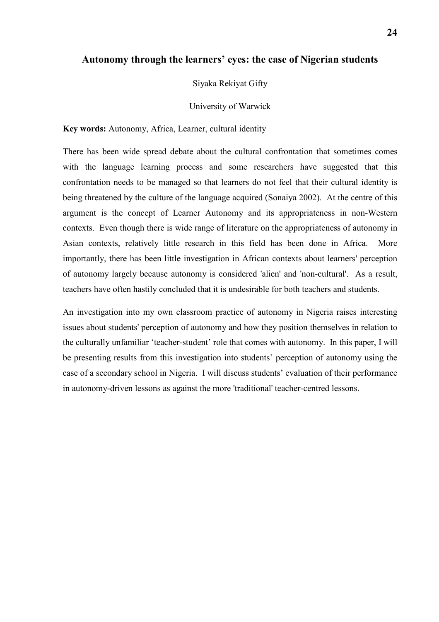## **Autonomy through the learners' eyes: the case of Nigerian students**

Siyaka Rekiyat Gifty

University of Warwick

**Key words:** Autonomy, Africa, Learner, cultural identity

There has been wide spread debate about the cultural confrontation that sometimes comes with the language learning process and some researchers have suggested that this confrontation needs to be managed so that learners do not feel that their cultural identity is being threatened by the culture of the language acquired (Sonaiya 2002). At the centre of this argument is the concept of Learner Autonomy and its appropriateness in non-Western contexts. Even though there is wide range of literature on the appropriateness of autonomy in Asian contexts, relatively little research in this field has been done in Africa. More importantly, there has been little investigation in African contexts about learners' perception of autonomy largely because autonomy is considered 'alien' and 'non-cultural'. As a result, teachers have often hastily concluded that it is undesirable for both teachers and students.

An investigation into my own classroom practice of autonomy in Nigeria raises interesting issues about students' perception of autonomy and how they position themselves in relation to the culturally unfamiliar 'teacher-student' role that comes with autonomy. In this paper, I will be presenting results from this investigation into students' perception of autonomy using the case of a secondary school in Nigeria. I will discuss students' evaluation of their performance in autonomy-driven lessons as against the more 'traditional' teacher-centred lessons.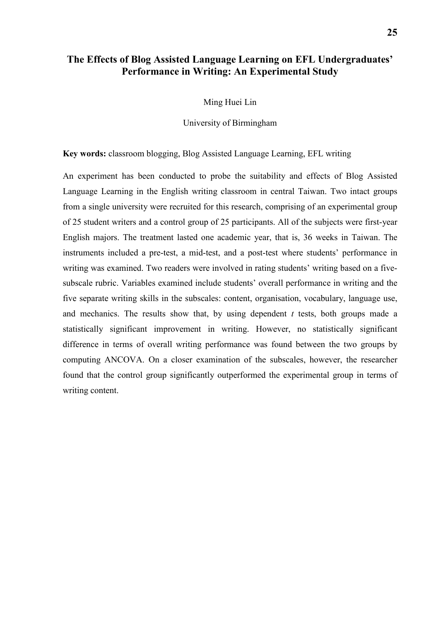# **The Effects of Blog Assisted Language Learning on EFL Undergraduates' Performance in Writing: An Experimental Study**

Ming Huei Lin

University of Birmingham

**Key words:** classroom blogging, Blog Assisted Language Learning, EFL writing

An experiment has been conducted to probe the suitability and effects of Blog Assisted Language Learning in the English writing classroom in central Taiwan. Two intact groups from a single university were recruited for this research, comprising of an experimental group of 25 student writers and a control group of 25 participants. All of the subjects were first-year English majors. The treatment lasted one academic year, that is, 36 weeks in Taiwan. The instruments included a pre-test, a mid-test, and a post-test where students' performance in writing was examined. Two readers were involved in rating students' writing based on a fivesubscale rubric. Variables examined include students' overall performance in writing and the five separate writing skills in the subscales: content, organisation, vocabulary, language use, and mechanics. The results show that, by using dependent  $t$  tests, both groups made a statistically significant improvement in writing. However, no statistically significant difference in terms of overall writing performance was found between the two groups by computing ANCOVA. On a closer examination of the subscales, however, the researcher found that the control group significantly outperformed the experimental group in terms of writing content.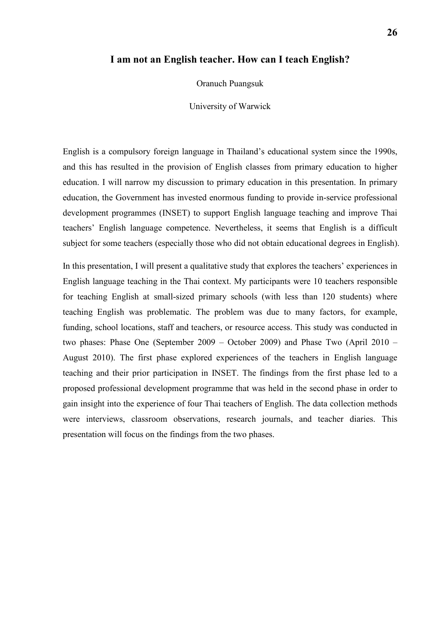#### **I am not an English teacher. How can I teach English?**

Oranuch Puangsuk

University of Warwick

English is a compulsory foreign language in Thailand's educational system since the 1990s, and this has resulted in the provision of English classes from primary education to higher education. I will narrow my discussion to primary education in this presentation. In primary education, the Government has invested enormous funding to provide in-service professional development programmes (INSET) to support English language teaching and improve Thai teachers' English language competence. Nevertheless, it seems that English is a difficult subject for some teachers (especially those who did not obtain educational degrees in English).

In this presentation, I will present a qualitative study that explores the teachers' experiences in English language teaching in the Thai context. My participants were 10 teachers responsible for teaching English at small-sized primary schools (with less than 120 students) where teaching English was problematic. The problem was due to many factors, for example, funding, school locations, staff and teachers, or resource access. This study was conducted in two phases: Phase One (September 2009 – October 2009) and Phase Two (April 2010 – August 2010). The first phase explored experiences of the teachers in English language teaching and their prior participation in INSET. The findings from the first phase led to a proposed professional development programme that was held in the second phase in order to gain insight into the experience of four Thai teachers of English. The data collection methods were interviews, classroom observations, research journals, and teacher diaries. This presentation will focus on the findings from the two phases.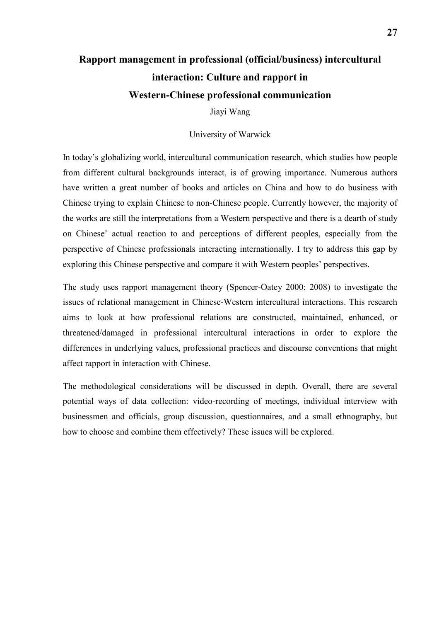# **Rapport management in professional (official/business) intercultural interaction: Culture and rapport in Western-Chinese professional communication**

Jiayi Wang

#### University of Warwick

In today's globalizing world, intercultural communication research, which studies how people from different cultural backgrounds interact, is of growing importance. Numerous authors have written a great number of books and articles on China and how to do business with Chinese trying to explain Chinese to non-Chinese people. Currently however, the majority of the works are still the interpretations from a Western perspective and there is a dearth of study on Chinese' actual reaction to and perceptions of different peoples, especially from the perspective of Chinese professionals interacting internationally. I try to address this gap by exploring this Chinese perspective and compare it with Western peoples' perspectives.

The study uses rapport management theory (Spencer-Oatey 2000; 2008) to investigate the issues of relational management in Chinese-Western intercultural interactions. This research aims to look at how professional relations are constructed, maintained, enhanced, or threatened/damaged in professional intercultural interactions in order to explore the differences in underlying values, professional practices and discourse conventions that might affect rapport in interaction with Chinese.

The methodological considerations will be discussed in depth. Overall, there are several potential ways of data collection: video-recording of meetings, individual interview with businessmen and officials, group discussion, questionnaires, and a small ethnography, but how to choose and combine them effectively? These issues will be explored.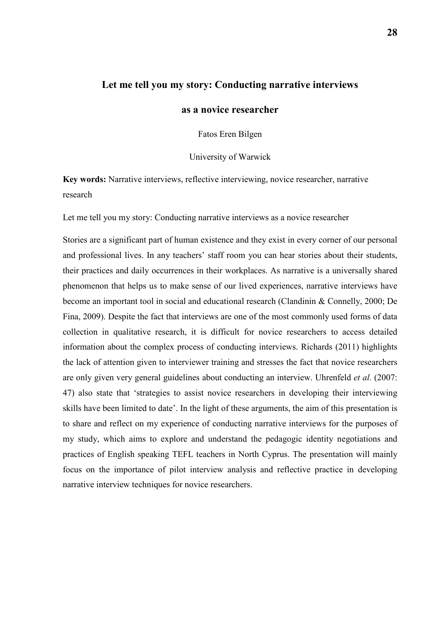## **Let me tell you my story: Conducting narrative interviews**

# **as a novice researcher**

Fatos Eren Bilgen

University of Warwick

**Key words:** Narrative interviews, reflective interviewing, novice researcher, narrative research

Let me tell you my story: Conducting narrative interviews as a novice researcher

Stories are a significant part of human existence and they exist in every corner of our personal and professional lives. In any teachers' staff room you can hear stories about their students, their practices and daily occurrences in their workplaces. As narrative is a universally shared phenomenon that helps us to make sense of our lived experiences, narrative interviews have become an important tool in social and educational research (Clandinin & Connelly, 2000; De Fina, 2009). Despite the fact that interviews are one of the most commonly used forms of data collection in qualitative research, it is difficult for novice researchers to access detailed information about the complex process of conducting interviews. Richards (2011) highlights the lack of attention given to interviewer training and stresses the fact that novice researchers are only given very general guidelines about conducting an interview. Uhrenfeld *et al.* (2007: 47) also state that 'strategies to assist novice researchers in developing their interviewing skills have been limited to date'. In the light of these arguments, the aim of this presentation is to share and reflect on my experience of conducting narrative interviews for the purposes of my study, which aims to explore and understand the pedagogic identity negotiations and practices of English speaking TEFL teachers in North Cyprus. The presentation will mainly focus on the importance of pilot interview analysis and reflective practice in developing narrative interview techniques for novice researchers.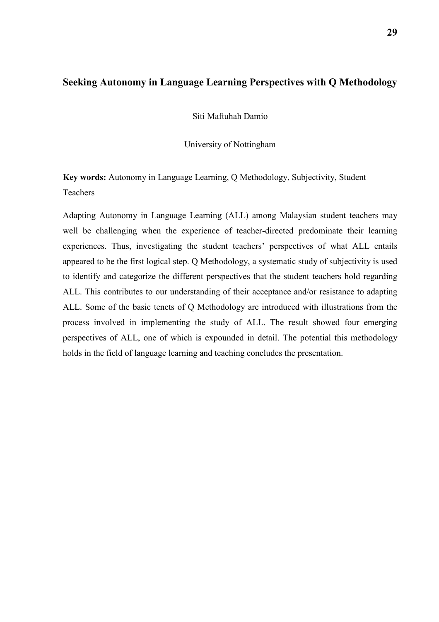# **Seeking Autonomy in Language Learning Perspectives with Q Methodology**

Siti Maftuhah Damio

University of Nottingham

**Key words:** Autonomy in Language Learning, Q Methodology, Subjectivity, Student Teachers

Adapting Autonomy in Language Learning (ALL) among Malaysian student teachers may well be challenging when the experience of teacher-directed predominate their learning experiences. Thus, investigating the student teachers' perspectives of what ALL entails appeared to be the first logical step. Q Methodology, a systematic study of subjectivity is used to identify and categorize the different perspectives that the student teachers hold regarding ALL. This contributes to our understanding of their acceptance and/or resistance to adapting ALL. Some of the basic tenets of Q Methodology are introduced with illustrations from the process involved in implementing the study of ALL. The result showed four emerging perspectives of ALL, one of which is expounded in detail. The potential this methodology holds in the field of language learning and teaching concludes the presentation.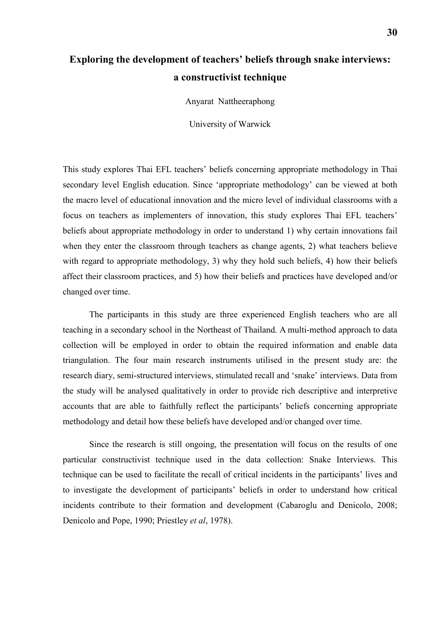# **Exploring the development of teachers' beliefs through snake interviews: a constructivist technique**

Anyarat Nattheeraphong

University of Warwick

This study explores Thai EFL teachers' beliefs concerning appropriate methodology in Thai secondary level English education. Since 'appropriate methodology' can be viewed at both the macro level of educational innovation and the micro level of individual classrooms with a focus on teachers as implementers of innovation, this study explores Thai EFL teachers' beliefs about appropriate methodology in order to understand 1) why certain innovations fail when they enter the classroom through teachers as change agents, 2) what teachers believe with regard to appropriate methodology, 3) why they hold such beliefs, 4) how their beliefs affect their classroom practices, and 5) how their beliefs and practices have developed and/or changed over time.

The participants in this study are three experienced English teachers who are all teaching in a secondary school in the Northeast of Thailand. A multi-method approach to data collection will be employed in order to obtain the required information and enable data triangulation. The four main research instruments utilised in the present study are: the research diary, semi-structured interviews, stimulated recall and 'snake' interviews. Data from the study will be analysed qualitatively in order to provide rich descriptive and interpretive accounts that are able to faithfully reflect the participants' beliefs concerning appropriate methodology and detail how these beliefs have developed and/or changed over time.

Since the research is still ongoing, the presentation will focus on the results of one particular constructivist technique used in the data collection: Snake Interviews. This technique can be used to facilitate the recall of critical incidents in the participants' lives and to investigate the development of participants' beliefs in order to understand how critical incidents contribute to their formation and development (Cabaroglu and Denicolo, 2008; Denicolo and Pope, 1990; Priestley *et al*, 1978).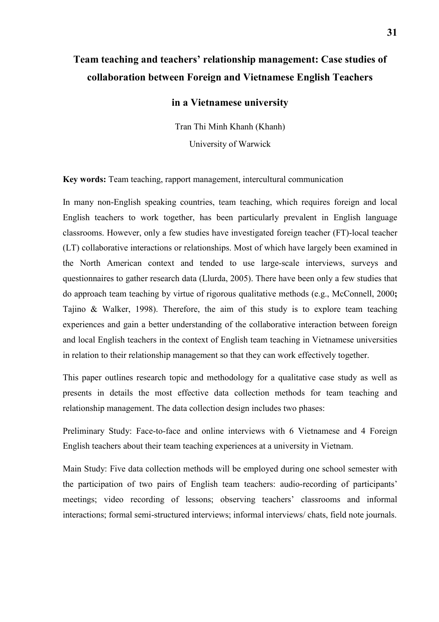# **Team teaching and teachers' relationship management: Case studies of collaboration between Foreign and Vietnamese English Teachers**

## **in a Vietnamese university**

Tran Thi Minh Khanh (Khanh) University of Warwick

**Key words:** Team teaching, rapport management, intercultural communication

In many non-English speaking countries, team teaching, which requires foreign and local English teachers to work together, has been particularly prevalent in English language classrooms. However, only a few studies have investigated foreign teacher (FT)-local teacher (LT) collaborative interactions or relationships. Most of which have largely been examined in the North American context and tended to use large-scale interviews, surveys and questionnaires to gather research data (Llurda, 2005). There have been only a few studies that do approach team teaching by virtue of rigorous qualitative methods (e.g., McConnell, 2000**;** Tajino & Walker, 1998). Therefore, the aim of this study is to explore team teaching experiences and gain a better understanding of the collaborative interaction between foreign and local English teachers in the context of English team teaching in Vietnamese universities in relation to their relationship management so that they can work effectively together.

This paper outlines research topic and methodology for a qualitative case study as well as presents in details the most effective data collection methods for team teaching and relationship management. The data collection design includes two phases:

Preliminary Study: Face-to-face and online interviews with 6 Vietnamese and 4 Foreign English teachers about their team teaching experiences at a university in Vietnam.

Main Study: Five data collection methods will be employed during one school semester with the participation of two pairs of English team teachers: audio-recording of participants' meetings; video recording of lessons; observing teachers' classrooms and informal interactions; formal semi-structured interviews; informal interviews/ chats, field note journals.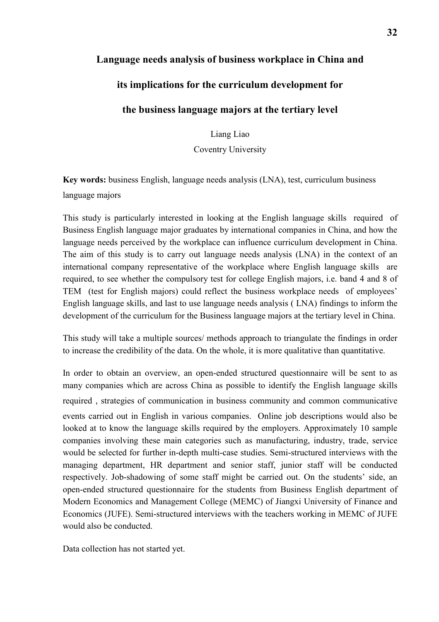# **Language needs analysis of business workplace in China and**

# **its implications for the curriculum development for**

# **the business language majors at the tertiary level**

Liang Liao

Coventry University

**Key words:** business English, language needs analysis (LNA), test, curriculum business language majors

This study is particularly interested in looking at the English language skills required of Business English language major graduates by international companies in China, and how the language needs perceived by the workplace can influence curriculum development in China. The aim of this study is to carry out language needs analysis (LNA) in the context of an international company representative of the workplace where English language skills are required, to see whether the compulsory test for college English majors, i.e. band 4 and 8 of TEM (test for English majors) could reflect the business workplace needs of employees' English language skills, and last to use language needs analysis ( LNA) findings to inform the development of the curriculum for the Business language majors at the tertiary level in China.

This study will take a multiple sources/ methods approach to triangulate the findings in order to increase the credibility of the data. On the whole, it is more qualitative than quantitative.

In order to obtain an overview, an open-ended structured questionnaire will be sent to as many companies which are across China as possible to identify the English language skills required, strategies of communication in business community and common communicative events carried out in English in various companies. Online job descriptions would also be looked at to know the language skills required by the employers. Approximately 10 sample companies involving these main categories such as manufacturing, industry, trade, service would be selected for further in-depth multi-case studies. Semi-structured interviews with the managing department, HR department and senior staff, junior staff will be conducted respectively. Job-shadowing of some staff might be carried out. On the students' side, an open-ended structured questionnaire for the students from Business English department of Modern Economics and Management College (MEMC) of Jiangxi University of Finance and Economics (JUFE). Semi-structured interviews with the teachers working in MEMC of JUFE would also be conducted.

Data collection has not started yet.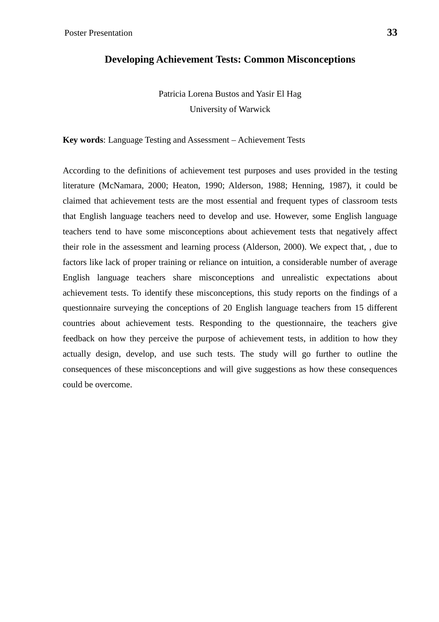## **Developing Achievement Tests: Common Misconceptions**

Patricia Lorena Bustos and Yasir El Hag University of Warwick

**Key words**: Language Testing and Assessment – Achievement Tests

According to the definitions of achievement test purposes and uses provided in the testing literature (McNamara, 2000; Heaton, 1990; Alderson, 1988; Henning, 1987), it could be claimed that achievement tests are the most essential and frequent types of classroom tests that English language teachers need to develop and use. However, some English language teachers tend to have some misconceptions about achievement tests that negatively affect their role in the assessment and learning process (Alderson, 2000). We expect that, , due to factors like lack of proper training or reliance on intuition, a considerable number of average English language teachers share misconceptions and unrealistic expectations about achievement tests. To identify these misconceptions, this study reports on the findings of a questionnaire surveying the conceptions of 20 English language teachers from 15 different countries about achievement tests. Responding to the questionnaire, the teachers give feedback on how they perceive the purpose of achievement tests, in addition to how they actually design, develop, and use such tests. The study will go further to outline the consequences of these misconceptions and will give suggestions as how these consequences could be overcome.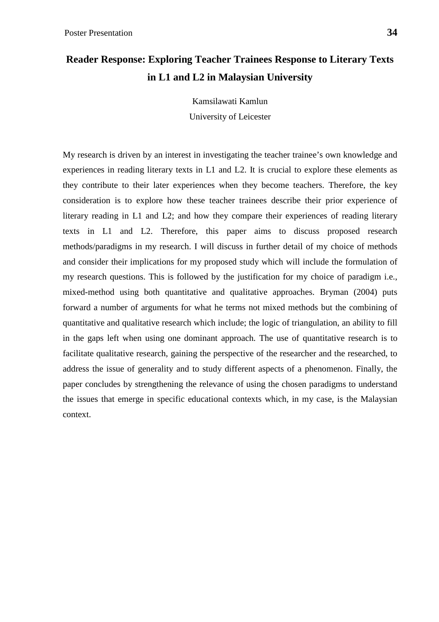# **Reader Response: Exploring Teacher Trainees Response to Literary Texts in L1 and L2 in Malaysian University**

Kamsilawati Kamlun University of Leicester

My research is driven by an interest in investigating the teacher trainee's own knowledge and experiences in reading literary texts in L1 and L2. It is crucial to explore these elements as they contribute to their later experiences when they become teachers. Therefore, the key consideration is to explore how these teacher trainees describe their prior experience of literary reading in L1 and L2; and how they compare their experiences of reading literary texts in L1 and L2. Therefore, this paper aims to discuss proposed research methods/paradigms in my research. I will discuss in further detail of my choice of methods and consider their implications for my proposed study which will include the formulation of my research questions. This is followed by the justification for my choice of paradigm i.e., mixed-method using both quantitative and qualitative approaches. Bryman (2004) puts forward a number of arguments for what he terms not mixed methods but the combining of quantitative and qualitative research which include; the logic of triangulation, an ability to fill in the gaps left when using one dominant approach. The use of quantitative research is to facilitate qualitative research, gaining the perspective of the researcher and the researched, to address the issue of generality and to study different aspects of a phenomenon. Finally, the paper concludes by strengthening the relevance of using the chosen paradigms to understand the issues that emerge in specific educational contexts which, in my case, is the Malaysian context.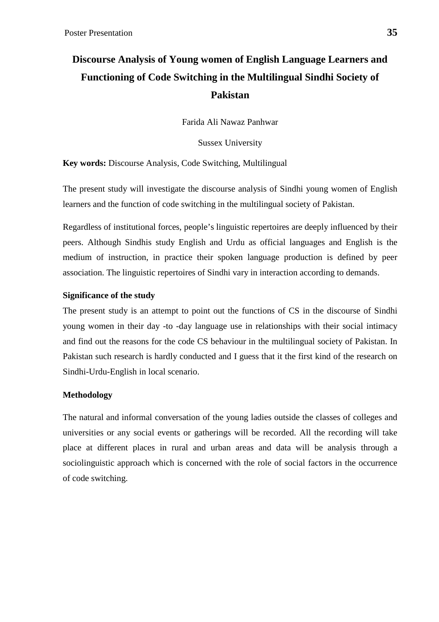# **Discourse Analysis of Young women of English Language Learners and Functioning of Code Switching in the Multilingual Sindhi Society of Pakistan**

Farida Ali Nawaz Panhwar

Sussex University

**Key words:** Discourse Analysis, Code Switching, Multilingual

The present study will investigate the discourse analysis of Sindhi young women of English learners and the function of code switching in the multilingual society of Pakistan.

Regardless of institutional forces, people's linguistic repertoires are deeply influenced by their peers. Although Sindhis study English and Urdu as official languages and English is the medium of instruction, in practice their spoken language production is defined by peer association. The linguistic repertoires of Sindhi vary in interaction according to demands.

## **Significance of the study**

The present study is an attempt to point out the functions of CS in the discourse of Sindhi young women in their day -to -day language use in relationships with their social intimacy and find out the reasons for the code CS behaviour in the multilingual society of Pakistan. In Pakistan such research is hardly conducted and I guess that it the first kind of the research on Sindhi-Urdu-English in local scenario.

## **Methodology**

The natural and informal conversation of the young ladies outside the classes of colleges and universities or any social events or gatherings will be recorded. All the recording will take place at different places in rural and urban areas and data will be analysis through a sociolinguistic approach which is concerned with the role of social factors in the occurrence of code switching.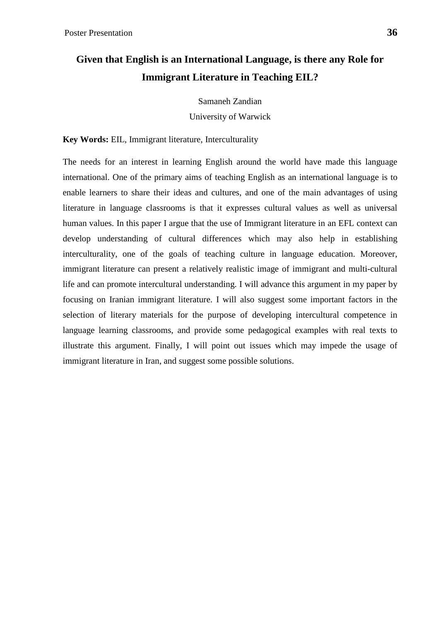# **Given that English is an International Language, is there any Role for Immigrant Literature in Teaching EIL?**

Samaneh Zandian University of Warwick

**Key Words:** EIL, Immigrant literature, Interculturality

The needs for an interest in learning English around the world have made this language international. One of the primary aims of teaching English as an international language is to enable learners to share their ideas and cultures, and one of the main advantages of using literature in language classrooms is that it expresses cultural values as well as universal human values. In this paper I argue that the use of Immigrant literature in an EFL context can develop understanding of cultural differences which may also help in establishing interculturality, one of the goals of teaching culture in language education. Moreover, immigrant literature can present a relatively realistic image of immigrant and multi-cultural life and can promote intercultural understanding. I will advance this argument in my paper by focusing on Iranian immigrant literature. I will also suggest some important factors in the selection of literary materials for the purpose of developing intercultural competence in language learning classrooms, and provide some pedagogical examples with real texts to illustrate this argument. Finally, I will point out issues which may impede the usage of immigrant literature in Iran, and suggest some possible solutions.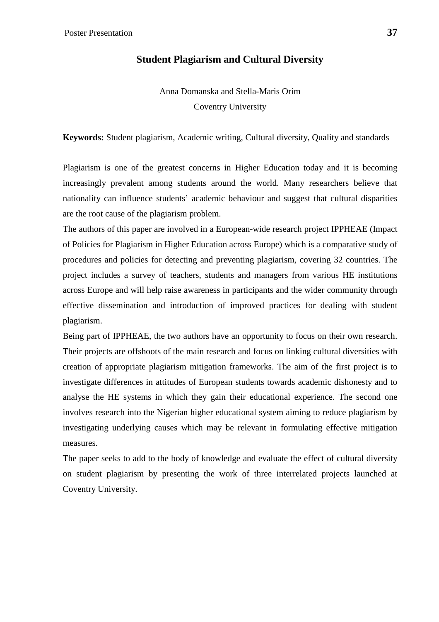# **Student Plagiarism and Cultural Diversity**

Anna Domanska and Stella-Maris Orim Coventry University

**Keywords:** Student plagiarism, Academic writing, Cultural diversity, Quality and standards

Plagiarism is one of the greatest concerns in Higher Education today and it is becoming increasingly prevalent among students around the world. Many researchers believe that nationality can influence students' academic behaviour and suggest that cultural disparities are the root cause of the plagiarism problem.

The authors of this paper are involved in a European-wide research project IPPHEAE (Impact of Policies for Plagiarism in Higher Education across Europe) which is a comparative study of procedures and policies for detecting and preventing plagiarism, covering 32 countries. The project includes a survey of teachers, students and managers from various HE institutions across Europe and will help raise awareness in participants and the wider community through effective dissemination and introduction of improved practices for dealing with student plagiarism.

Being part of IPPHEAE, the two authors have an opportunity to focus on their own research. Their projects are offshoots of the main research and focus on linking cultural diversities with creation of appropriate plagiarism mitigation frameworks. The aim of the first project is to investigate differences in attitudes of European students towards academic dishonesty and to analyse the HE systems in which they gain their educational experience. The second one involves research into the Nigerian higher educational system aiming to reduce plagiarism by investigating underlying causes which may be relevant in formulating effective mitigation measures.

The paper seeks to add to the body of knowledge and evaluate the effect of cultural diversity on student plagiarism by presenting the work of three interrelated projects launched at Coventry University.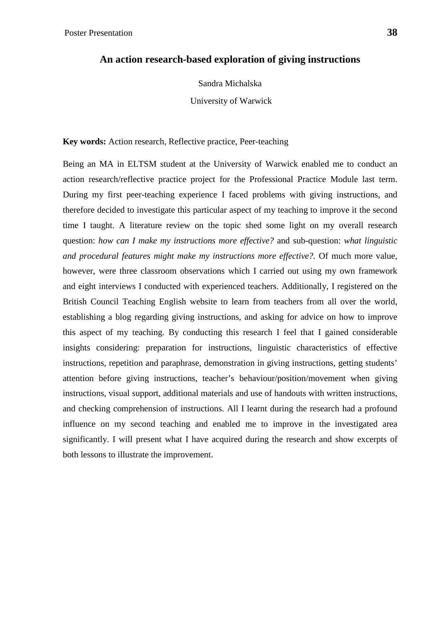Sandra Michalska

University of Warwick

**Key words:** Action research, Reflective practice, Peer-teaching

Being an MA in ELTSM student at the University of Warwick enabled me to conduct an action research/reflective practice project for the Professional Practice Module last term. During my first peer-teaching experience I faced problems with giving instructions, and therefore decided to investigate this particular aspect of my teaching to improve it the second time I taught. A literature review on the topic shed some light on my overall research question: *how can I make my instructions more effective?* and sub-question: *what linguistic and procedural features might make my instructions more effective?.* Of much more value, however, were three classroom observations which I carried out using my own framework and eight interviews I conducted with experienced teachers. Additionally, I registered on the British Council Teaching English website to learn from teachers from all over the world, establishing a blog regarding giving instructions, and asking for advice on how to improve this aspect of my teaching. By conducting this research I feel that I gained considerable insights considering: preparation for instructions, linguistic characteristics of effective instructions, repetition and paraphrase, demonstration in giving instructions, getting students' attention before giving instructions, teacher's behaviour/position/movement when giving instructions, visual support, additional materials and use of handouts with written instructions, and checking comprehension of instructions. All I learnt during the research had a profound influence on my second teaching and enabled me to improve in the investigated area significantly. I will present what I have acquired during the research and show excerpts of both lessons to illustrate the improvement.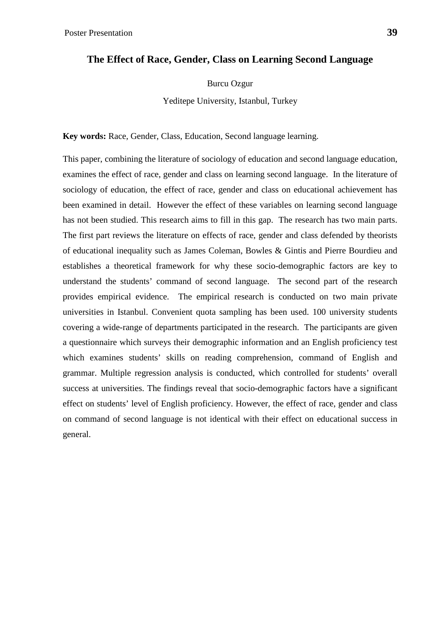# **The Effect of Race, Gender, Class on Learning Second Language**

Burcu Ozgur

Yeditepe University, Istanbul, Turkey

**Key words:** Race, Gender, Class, Education, Second language learning.

This paper, combining the literature of sociology of education and second language education, examines the effect of race, gender and class on learning second language. In the literature of sociology of education, the effect of race, gender and class on educational achievement has been examined in detail. However the effect of these variables on learning second language has not been studied. This research aims to fill in this gap. The research has two main parts. The first part reviews the literature on effects of race, gender and class defended by theorists of educational inequality such as James Coleman, Bowles & Gintis and Pierre Bourdieu and establishes a theoretical framework for why these socio-demographic factors are key to understand the students' command of second language. The second part of the research provides empirical evidence. The empirical research is conducted on two main private universities in Istanbul. Convenient quota sampling has been used. 100 university students covering a wide-range of departments participated in the research. The participants are given a questionnaire which surveys their demographic information and an English proficiency test which examines students' skills on reading comprehension, command of English and grammar. Multiple regression analysis is conducted, which controlled for students' overall success at universities. The findings reveal that socio-demographic factors have a significant effect on students' level of English proficiency. However, the effect of race, gender and class on command of second language is not identical with their effect on educational success in general.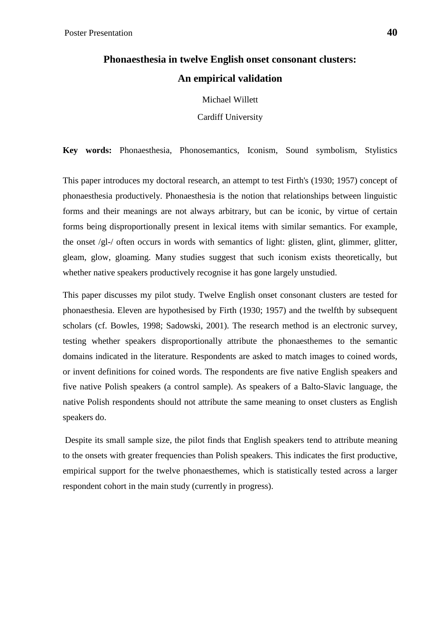# **Phonaesthesia in twelve English onset consonant clusters: An empirical validation**

Michael Willett

Cardiff University

**Key words:** Phonaesthesia, Phonosemantics, Iconism, Sound symbolism, Stylistics

This paper introduces my doctoral research, an attempt to test Firth's (1930; 1957) concept of phonaesthesia productively. Phonaesthesia is the notion that relationships between linguistic forms and their meanings are not always arbitrary, but can be iconic, by virtue of certain forms being disproportionally present in lexical items with similar semantics. For example, the onset /gl-/ often occurs in words with semantics of light: glisten, glint, glimmer, glitter, gleam, glow, gloaming. Many studies suggest that such iconism exists theoretically, but whether native speakers productively recognise it has gone largely unstudied.

This paper discusses my pilot study. Twelve English onset consonant clusters are tested for phonaesthesia. Eleven are hypothesised by Firth (1930; 1957) and the twelfth by subsequent scholars (cf. Bowles, 1998; Sadowski, 2001). The research method is an electronic survey, testing whether speakers disproportionally attribute the phonaesthemes to the semantic domains indicated in the literature. Respondents are asked to match images to coined words, or invent definitions for coined words. The respondents are five native English speakers and five native Polish speakers (a control sample). As speakers of a Balto-Slavic language, the native Polish respondents should not attribute the same meaning to onset clusters as English speakers do.

Despite its small sample size, the pilot finds that English speakers tend to attribute meaning to the onsets with greater frequencies than Polish speakers. This indicates the first productive, empirical support for the twelve phonaesthemes, which is statistically tested across a larger respondent cohort in the main study (currently in progress).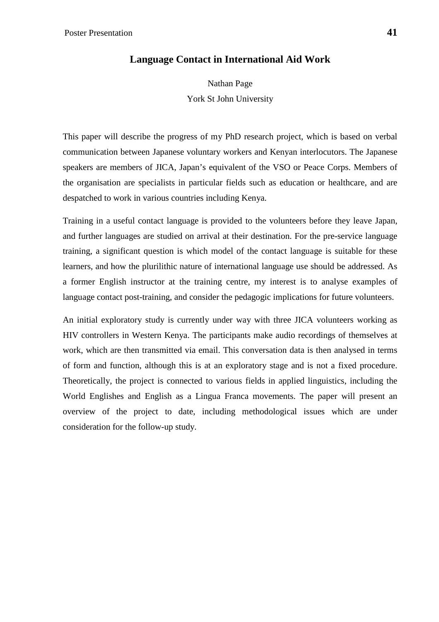# **Language Contact in International Aid Work**

Nathan Page York St John University

This paper will describe the progress of my PhD research project, which is based on verbal communication between Japanese voluntary workers and Kenyan interlocutors. The Japanese speakers are members of JICA, Japan's equivalent of the VSO or Peace Corps. Members of the organisation are specialists in particular fields such as education or healthcare, and are despatched to work in various countries including Kenya.

Training in a useful contact language is provided to the volunteers before they leave Japan, and further languages are studied on arrival at their destination. For the pre-service language training, a significant question is which model of the contact language is suitable for these learners, and how the plurilithic nature of international language use should be addressed. As a former English instructor at the training centre, my interest is to analyse examples of language contact post-training, and consider the pedagogic implications for future volunteers.

An initial exploratory study is currently under way with three JICA volunteers working as HIV controllers in Western Kenya. The participants make audio recordings of themselves at work, which are then transmitted via email. This conversation data is then analysed in terms of form and function, although this is at an exploratory stage and is not a fixed procedure. Theoretically, the project is connected to various fields in applied linguistics, including the World Englishes and English as a Lingua Franca movements. The paper will present an overview of the project to date, including methodological issues which are under consideration for the follow-up study.